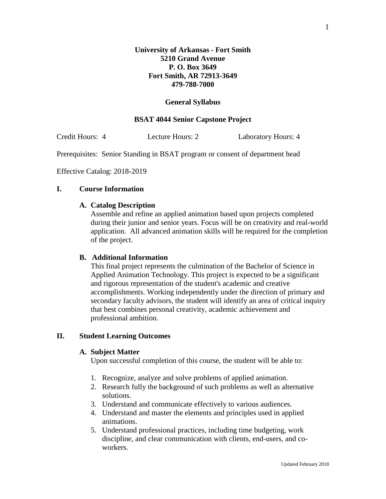#### **General Syllabus**

## **BSAT 4044 Senior Capstone Project**

Credit Hours: 4 Lecture Hours: 2 Laboratory Hours: 4

Prerequisites: Senior Standing in BSAT program or consent of department head

Effective Catalog: 2018-2019

#### **I. Course Information**

#### **A. Catalog Description**

Assemble and refine an applied animation based upon projects completed during their junior and senior years. Focus will be on creativity and real-world application. All advanced animation skills will be required for the completion of the project.

## **B. Additional Information**

This final project represents the culmination of the Bachelor of Science in Applied Animation Technology. This project is expected to be a significant and rigorous representation of the student's academic and creative accomplishments. Working independently under the direction of primary and secondary faculty advisors, the student will identify an area of critical inquiry that best combines personal creativity, academic achievement and professional ambition.

#### **II. Student Learning Outcomes**

#### **A. Subject Matter**

Upon successful completion of this course, the student will be able to:

- 1. Recognize, analyze and solve problems of applied animation.
- 2. Research fully the background of such problems as well as alternative solutions.
- 3. Understand and communicate effectively to various audiences.
- 4. Understand and master the elements and principles used in applied animations.
- 5. Understand professional practices, including time budgeting, work discipline, and clear communication with clients, end-users, and coworkers.